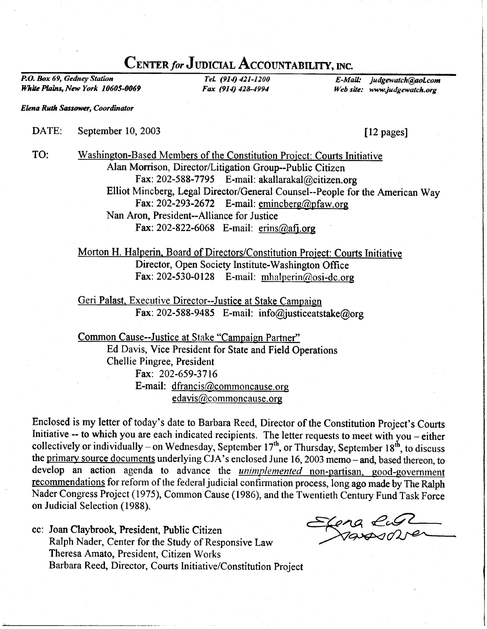## CENTER for JUDICIAL ACCOUNTABILITY, INC.

P.O. Box 69, Gedney Station White Plains, New York 10605-0069

TeL (914) 421-1200 Fax (914) 428-4994

E-Mail: judgewatch@aol.com Web site: www.judgewatch.org

**Elena Ruth Sassower, Coordinator** 

TO:

## DATE: September 10, 2003

[12 pages]

Washington-Based Members of the Constitution Project: Courts Initiative Alan Morrison, Director/Litigation Group--Public Citizen Fax: 202-588-7795 E-mail: akallarakal@citizen.org Elliot Mincberg, Legal Director/General Counsel--People for the American Way Fax: 202-293-2672 E-mail: emincberg@pfaw.org Nan Aron, President--Alliance for Justice Fax: 202-822-6068 E-mail: erins@afj.org

Morton H. Halperin. Board of Directors/Constitution Project: Courts Initiative Director, Open Society Institute-Washington Office Fax: 202-530-0128 E-mail: mhalperin@osi-dc.org

Geri Palast. Executive Director--Justice at Stake Campaign Fax: 202-588-9485 E-mail: info@justiceatstake@org

Common Cause--Justice at Stake "Campaign Partner" Ed Davis, Vice President for State and Field Operations Chellie Pingree, President Fax: 202-659-3716 E-mail: dfrancis@commoncause.org edavis@commoncause. org

Enclosed is my letter of today's date to Barbara Reed, Director of the Constitution Project's Courts Initiative -- to which you are each indicated recipients. The letter requests to meet with you - either collectively or individually – on Wednesday, September  $17<sup>th</sup>$ , or Thursday, September  $18<sup>th</sup>$ , to discuss the primary source documents underlying CJA's enclosed June 16, 2003 memo - and, based thereon, to develop an action agenda to advance the *unimplemented* non-partisan, good-government recommendations for reform of the federal judicial confirmation process, long ago made by The Ralph Nader Congress Project (1975), Common Cause (1986), and the Twentieth Century Fund Task Force on Judicial Selection (1988).

cc: Joan Claybrook, President, Public Citizen Ralph Nader, Center for the Study of Responsive Law Theresa Amato, President, Citizen Works Barbara Reed, Director, Courts Initiative/Constitution project

Elena Rust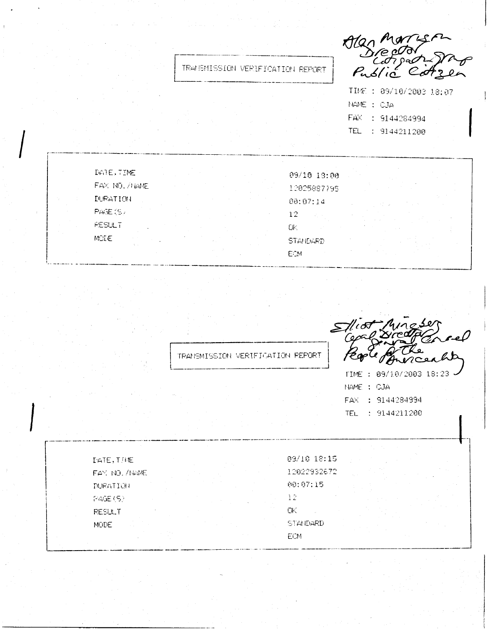TRANSMISSION VERIFICATION REPORT

Alag M  $P<sub>u</sub>$ dic  $\epsilon$ 

TIME : 09/10/2003 18:07 NAME : CJA FAX : 9144284994 TEL : 9144211200

| DATE, TIME           |  | 09/10 13:00     |  |
|----------------------|--|-----------------|--|
| FAX NO. /NAME        |  | 12025887795     |  |
| DURATION             |  | 80:07:14        |  |
| PAGE (S)             |  | 12              |  |
| <b>RESULT</b>        |  | UK.             |  |
| <b>MDIE</b><br>10.12 |  | <b>STANDARD</b> |  |
|                      |  | ECM             |  |

 $\bf \Sigma$ TRANSMISSION VERIFICATION REPORT

TIME : 09/10/2003 18:23 NAME: CJA FAX : 9144284994 TEL : 9144211200

DATE, THME FAY, NO. /NAME DURATION  $PAGE(5)$ **RESULT MUDE** 

09/10 18:15 12022932672 00:07:15  $12<sub>1</sub>$ OK. **STANDARD** ECM.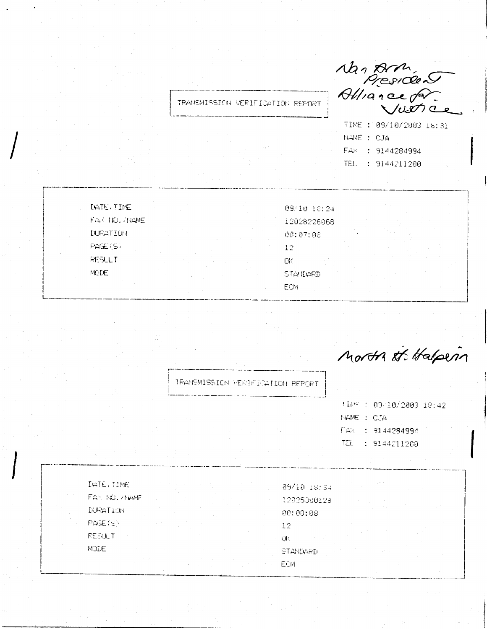Man Arm<br>President<br>Alliance for

TIME : 09/10/2003 16:31 NAME : CJA FAX : 9144284994 TEL: 9144211200

DATE, TIME FAX NO. ZNAME **DURATION** PAGE (S) **RESULT** MCDE.

09/10 10:24 12028226668 00:07:08 12 ПK. STANDARD **ECM** 

Morth at Halpern

TRANSMISSION VERIFICATION REPORT

TRANSMISSION VERIFICATION REPORT

|            | (10%): 09/10/2003 18:42 |  |
|------------|-------------------------|--|
| HAME : CJA |                         |  |
|            | FAX : 9144284994        |  |
| TEL        | -: 9144211200           |  |

DATE, TIME FAX NO. /NAME DURATION PAGE (S) **REEULT** MODE

09/10 18:34 12025300128  $00:08:08$ 12 ŪK. **STANDARD ECM**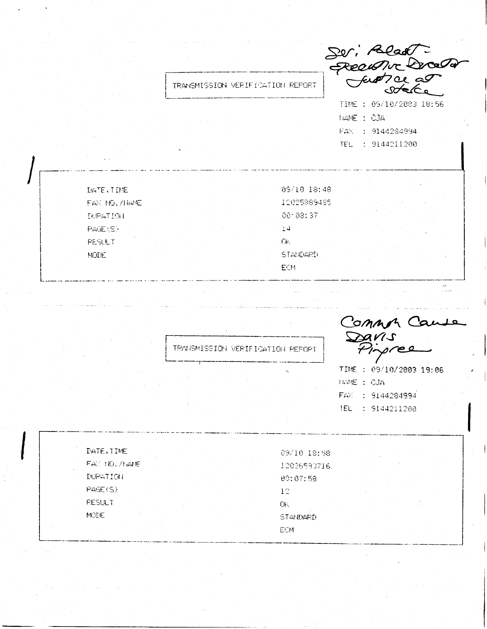Suri Readt TRANSMISSION VERIFICATION REPORT TIME : 09/10/2003 18:56 NAME : CJA FAX : 9144284994 TEL : 9144211200 09/10 18:48 12025889485  $90:88:37$  $24^{1}$ Γiκ.

**STANDARD** 

ECM

DATE, TIME

PAGE (S)

**RESULT** 

MDDE.

FAN NO. /NAME **NEATION** 

TRANSMISSION VERIFICATION REPORT

Common Cause DAVIS

TIME : 09/10/2003 19:06 **IWME: CJA** FAX : 9144284994 TEL : 9144211200

| DATE, TIME      | 09/10 18:58     |  |
|-----------------|-----------------|--|
| FAZ NO. /NAME   | 12026593716     |  |
| <b>DURATION</b> | 09:07:58        |  |
| PAGE(S)         | 12              |  |
| <b>RESULT</b>   | ŪK              |  |
| MODE            | <b>STANDARD</b> |  |
|                 | ECM             |  |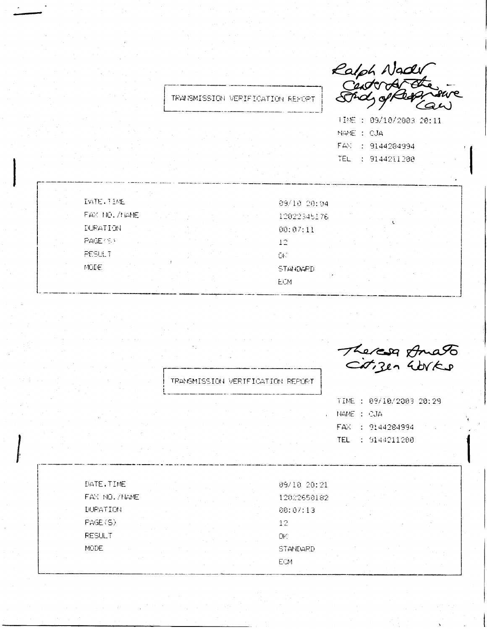Ralph Nady<br>Centra Central

TIME : 09/10/2003 20:11 NAME: CJA FAX : 9144284994 TEL : 9144211200

| IATE.TIME     | 09/10 20:04 |
|---------------|-------------|
| FAX NO. /NAME | 12022345176 |
| DURATION      | 00:07:11    |
| PAGE (5)      | 12.         |
| PESULT        | GK.         |
| MGDE.         | STANDARD    |
|               | ECM.        |

TRANSMISSION VERIFICATION REPORT

TRANSMISSION VERIFICATION REPORT

Theresa Amato

TIME : 09/10/2003 20:29 NAME : CJA FAX : 9144284994 TEL: 9144211200

DATE, TIME FAX NO. /NAME **DURATION** PAGE(S) **RESULT MODE** 

09/10 20:21 12022650182 80:07:13 12 DK. STANDARD ECM.